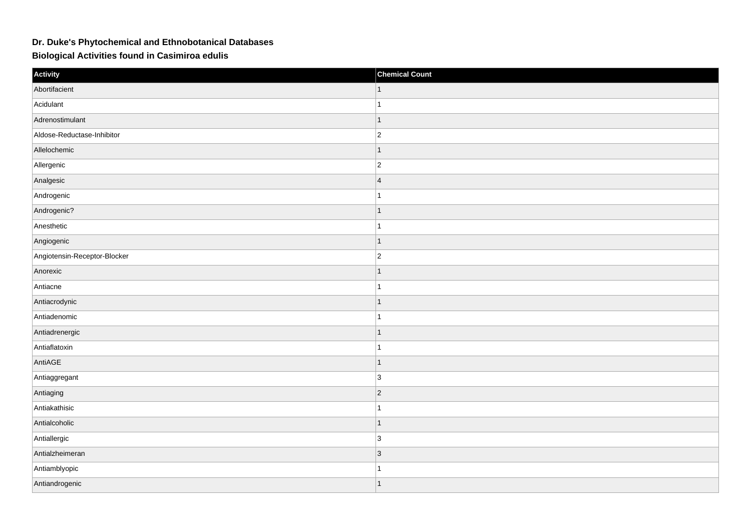## **Dr. Duke's Phytochemical and Ethnobotanical Databases**

**Biological Activities found in Casimiroa edulis**

| Activity                     | <b>Chemical Count</b> |
|------------------------------|-----------------------|
| Abortifacient                | $\mathbf{1}$          |
| Acidulant                    | $\mathbf{1}$          |
| Adrenostimulant              | $\mathbf{1}$          |
| Aldose-Reductase-Inhibitor   | $\vert$ 2             |
| Allelochemic                 | $\mathbf{1}$          |
| Allergenic                   | $ 2\rangle$           |
| Analgesic                    | $\overline{4}$        |
| Androgenic                   | $\mathbf{1}$          |
| Androgenic?                  | $\mathbf{1}$          |
| Anesthetic                   | $\mathbf{1}$          |
| Angiogenic                   | $\mathbf{1}$          |
| Angiotensin-Receptor-Blocker | $ 2\rangle$           |
| Anorexic                     | $\mathbf{1}$          |
| Antiacne                     | $\mathbf{1}$          |
| Antiacrodynic                | $\mathbf{1}$          |
| Antiadenomic                 | $\mathbf{1}$          |
| Antiadrenergic               | $\mathbf{1}$          |
| Antiaflatoxin                | 1                     |
| AntiAGE                      | $\mathbf{1}$          |
| Antiaggregant                | $ 3\rangle$           |
| Antiaging                    | $ 2\rangle$           |
| Antiakathisic                | $\mathbf{1}$          |
| Antialcoholic                | $\mathbf{1}$          |
| Antiallergic                 | 3                     |
| Antialzheimeran              | $ 3\rangle$           |
| Antiamblyopic                | $\mathbf{1}$          |
| Antiandrogenic               | $\mathbf{1}$          |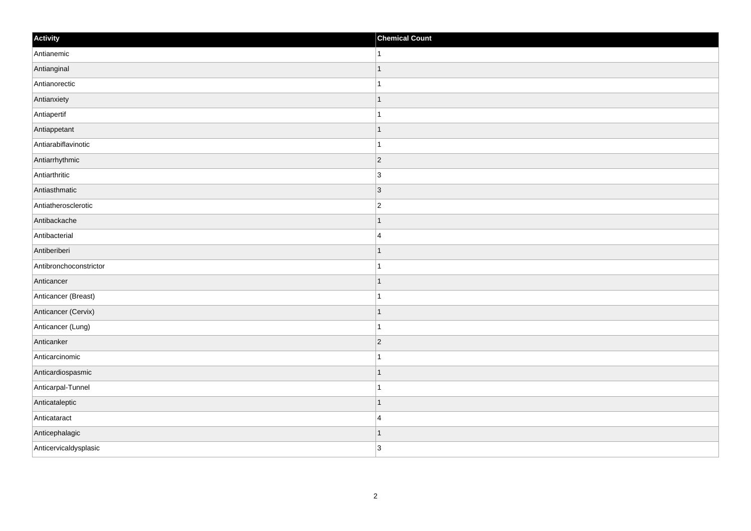| Activity               | <b>Chemical Count</b> |
|------------------------|-----------------------|
| Antianemic             | $\mathbf{1}$          |
| Antianginal            | $\overline{1}$        |
| Antianorectic          |                       |
| Antianxiety            | $\mathbf{1}$          |
| Antiapertif            | $\mathbf{1}$          |
| Antiappetant           | $\mathbf 1$           |
| Antiarabiflavinotic    | 1                     |
| Antiarrhythmic         | $\overline{2}$        |
| Antiarthritic          | $\overline{3}$        |
| Antiasthmatic          | 3                     |
| Antiatherosclerotic    | $\overline{c}$        |
| Antibackache           | -1                    |
| Antibacterial          | $\overline{4}$        |
| Antiberiberi           | -1                    |
| Antibronchoconstrictor |                       |
| Anticancer             | $\vert$ 1             |
| Anticancer (Breast)    | $\mathbf 1$           |
| Anticancer (Cervix)    | $\mathbf 1$           |
| Anticancer (Lung)      | 1                     |
| Anticanker             | $ 2\rangle$           |
| Anticarcinomic         | $\overline{1}$        |
| Anticardiospasmic      | $\vert$ 1             |
| Anticarpal-Tunnel      | $\mathbf 1$           |
| Anticataleptic         | $\mathbf 1$           |
| Anticataract           | $\overline{4}$        |
| Anticephalagic         | 1                     |
| Anticervicaldysplasic  | 3                     |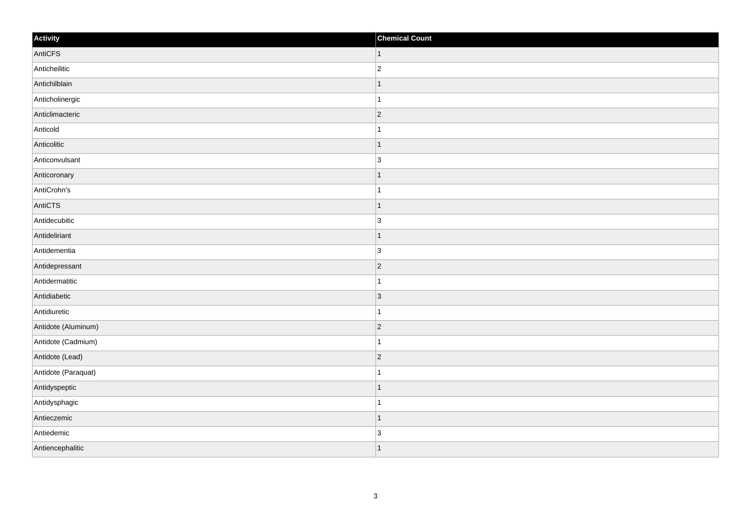| Activity            | <b>Chemical Count</b> |
|---------------------|-----------------------|
| AntiCFS             | $\vert$ 1             |
| Anticheilitic       | $\overline{2}$        |
| Antichilblain       |                       |
| Anticholinergic     |                       |
| Anticlimacteric     | $\overline{2}$        |
| Anticold            |                       |
| Anticolitic         | $\vert$ 1             |
| Anticonvulsant      | 3                     |
| Anticoronary        |                       |
| AntiCrohn's         |                       |
| AntiCTS             | $\overline{1}$        |
| Antidecubitic       | $\overline{3}$        |
| Antideliriant       | 1                     |
| Antidementia        | $\overline{3}$        |
| Antidepressant      | $\vert$ 2             |
| Antidermatitic      | 1                     |
| Antidiabetic        | $\vert$ 3             |
| Antidiuretic        | 1                     |
| Antidote (Aluminum) | $ 2\rangle$           |
| Antidote (Cadmium)  | -1                    |
| Antidote (Lead)     | $ 2\rangle$           |
| Antidote (Paraquat) |                       |
| Antidyspeptic       | 1                     |
| Antidysphagic       |                       |
| Antieczemic         | 1                     |
| Antiedemic          | $\overline{3}$        |
| Antiencephalitic    |                       |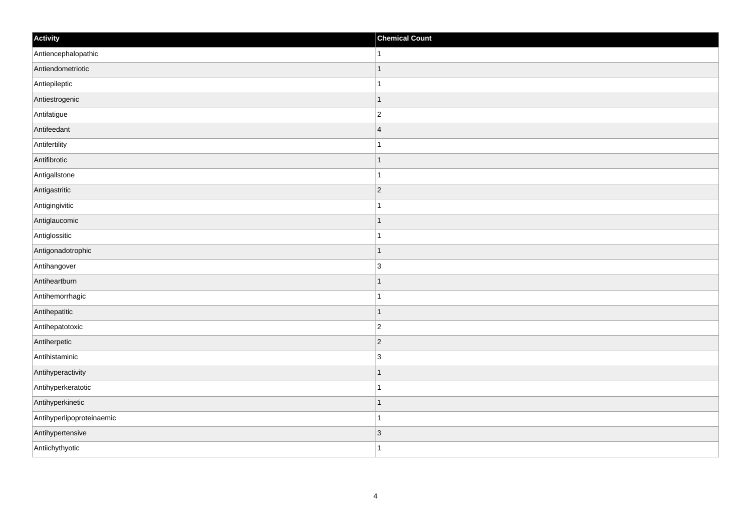| Activity                  | <b>Chemical Count</b> |
|---------------------------|-----------------------|
| Antiencephalopathic       | 1                     |
| Antiendometriotic         | $\overline{1}$        |
| Antiepileptic             |                       |
| Antiestrogenic            | $\mathbf 1$           |
| Antifatigue               | $\overline{c}$        |
| Antifeedant               | $\overline{4}$        |
| Antifertility             | 1                     |
| Antifibrotic              | $\mathbf 1$           |
| Antigallstone             |                       |
| Antigastritic             | $ 2\rangle$           |
| Antigingivitic            | 1                     |
| Antiglaucomic             | $\mathbf 1$           |
| Antiglossitic             | $\mathbf 1$           |
| Antigonadotrophic         | $\mathbf 1$           |
| Antihangover              | 3                     |
| Antiheartburn             | $\mathbf{1}$          |
| Antihemorrhagic           | $\mathbf 1$           |
| Antihepatitic             | $\mathbf 1$           |
| Antihepatotoxic           | $\overline{2}$        |
| Antiherpetic              | $ 2\rangle$           |
| Antihistaminic            | 3                     |
| Antihyperactivity         | $\mathbf{1}$          |
| Antihyperkeratotic        | 1                     |
| Antihyperkinetic          | $\overline{1}$        |
| Antihyperlipoproteinaemic | $\overline{1}$        |
| Antihypertensive          | 3                     |
| Antiichythyotic           | $\overline{1}$        |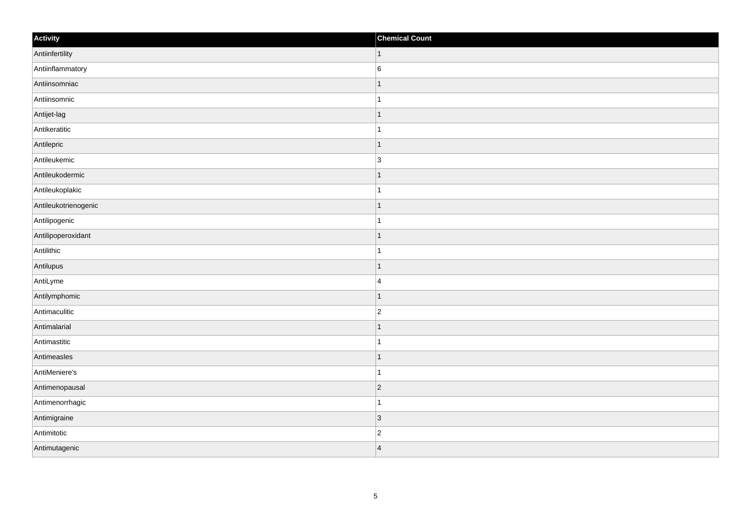| Activity             | <b>Chemical Count</b> |
|----------------------|-----------------------|
| Antiinfertility      | $\vert$ 1             |
| Antiinflammatory     | $6\phantom{a}$        |
| Antiinsomniac        | 1                     |
| Antiinsomnic         | $\mathbf{1}$          |
| Antijet-lag          | $\mathbf 1$           |
| Antikeratitic        |                       |
| Antilepric           | $\overline{1}$        |
| Antileukemic         | 3                     |
| Antileukodermic      | $\mathbf 1$           |
| Antileukoplakic      | $\mathbf{1}$          |
| Antileukotrienogenic | $\overline{1}$        |
| Antilipogenic        | 1                     |
| Antilipoperoxidant   | $\vert$ 1             |
| Antilithic           | $\overline{1}$        |
| Antilupus            | $\overline{1}$        |
| AntiLyme             | $\overline{4}$        |
| Antilymphomic        | $\mathbf 1$           |
| Antimaculitic        | $\overline{c}$        |
| Antimalarial         | $\vert$ 1             |
| Antimastitic         | $\mathbf{1}$          |
| Antimeasles          | $\vert$ 1             |
| AntiMeniere's        | $\mathbf{1}$          |
| Antimenopausal       | $ 2\rangle$           |
| Antimenorrhagic      | $\mathbf{1}$          |
| Antimigraine         | $ 3\rangle$           |
| Antimitotic          | $\overline{c}$        |
| Antimutagenic        | $\overline{4}$        |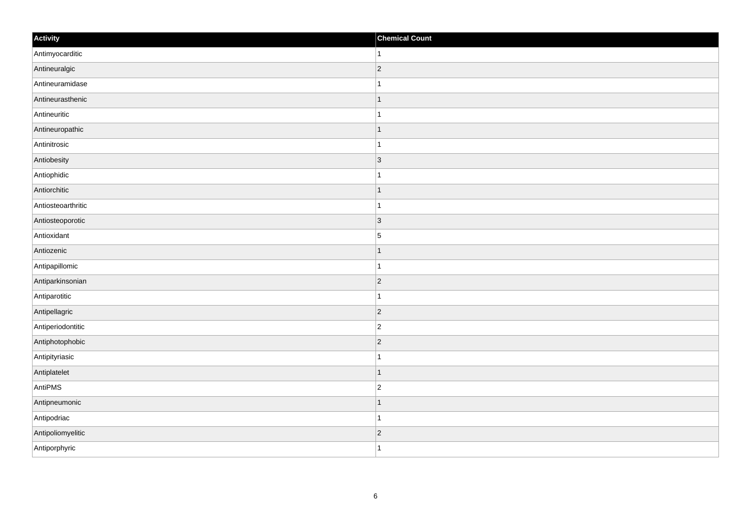| Activity           | <b>Chemical Count</b> |
|--------------------|-----------------------|
| Antimyocarditic    | $\vert$ 1             |
| Antineuralgic      | $ 2\rangle$           |
| Antineuramidase    | $\mathbf{1}$          |
| Antineurasthenic   | $\vert$ 1             |
| Antineuritic       | $\vert$ 1             |
| Antineuropathic    | $\mathbf{1}$          |
| Antinitrosic       | $\mathbf{1}$          |
| Antiobesity        | $\vert$ 3             |
| Antiophidic        | $\mathbf{1}$          |
| Antiorchitic       | $\vert$ 1             |
| Antiosteoarthritic | $\vert$ 1             |
| Antiosteoporotic   | $ 3\rangle$           |
| Antioxidant        | $\overline{5}$        |
| Antiozenic         | $\mathbf{1}$          |
| Antipapillomic     | $\vert$ 1             |
| Antiparkinsonian   | $ 2\rangle$           |
| Antiparotitic      | $\mathbf{1}$          |
| Antipellagric      | $ 2\rangle$           |
| Antiperiodontitic  | $ 2\rangle$           |
| Antiphotophobic    | $ 2\rangle$           |
| Antipityriasic     | $\mathbf{1}$          |
| Antiplatelet       | $\vert$ 1             |
| AntiPMS            | $ 2\rangle$           |
| Antipneumonic      | $\mathbf{1}$          |
| Antipodriac        | $\vert$ 1             |
| Antipoliomyelitic  | $\vert$ 2             |
| Antiporphyric      | $\vert$ 1             |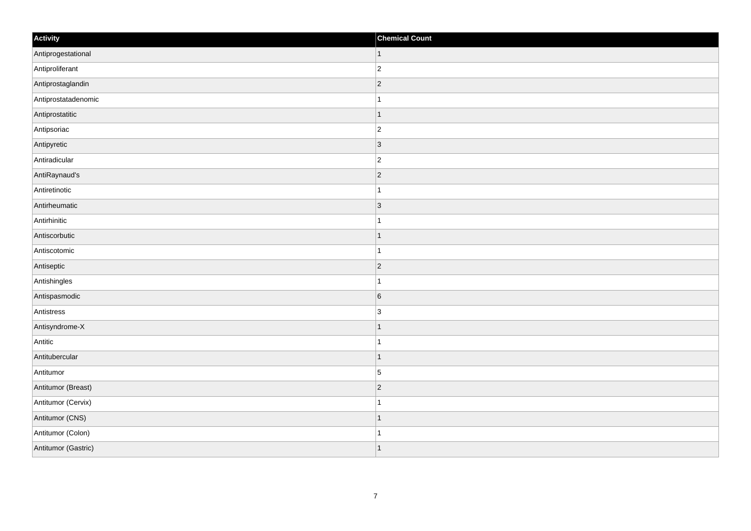| Activity            | <b>Chemical Count</b> |
|---------------------|-----------------------|
| Antiprogestational  | $\vert$ 1             |
| Antiproliferant     | $\overline{2}$        |
| Antiprostaglandin   | $ 2\rangle$           |
| Antiprostatadenomic | 1                     |
| Antiprostatitic     | $\overline{1}$        |
| Antipsoriac         | $ 2\rangle$           |
| Antipyretic         | $ 3\rangle$           |
| Antiradicular       | $\overline{2}$        |
| AntiRaynaud's       | $ 2\rangle$           |
| Antiretinotic       | $\mathbf{1}$          |
| Antirheumatic       | $ 3\rangle$           |
| Antirhinitic        |                       |
| Antiscorbutic       | $\overline{1}$        |
| Antiscotomic        | $\overline{1}$        |
| Antiseptic          | 2                     |
| Antishingles        | $\mathbf{1}$          |
| Antispasmodic       | $6\phantom{a}$        |
| Antistress          | 3                     |
| Antisyndrome-X      | $\overline{1}$        |
| Antitic             | $\mathbf{1}$          |
| Antitubercular      | $\mathbf 1$           |
| Antitumor           | $\vert$ 5             |
| Antitumor (Breast)  | $\overline{c}$        |
| Antitumor (Cervix)  |                       |
| Antitumor (CNS)     | $\vert$ 1             |
| Antitumor (Colon)   | $\mathbf{1}$          |
| Antitumor (Gastric) | $\vert$ 1             |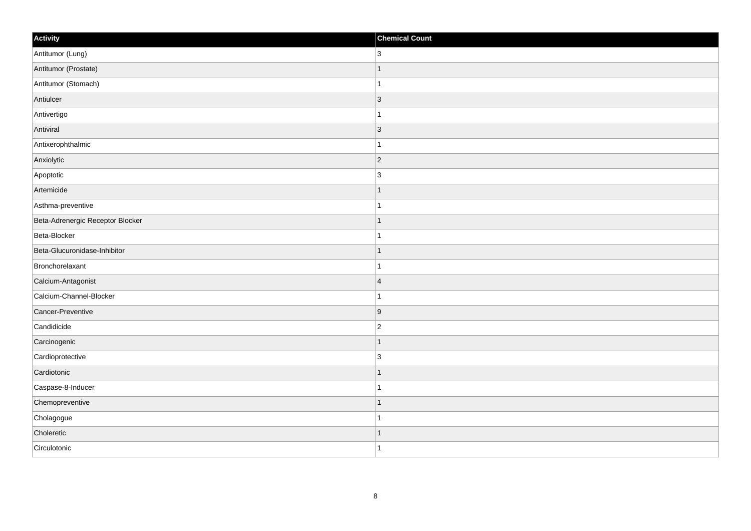| Activity                         | <b>Chemical Count</b> |
|----------------------------------|-----------------------|
| Antitumor (Lung)                 | 3                     |
| Antitumor (Prostate)             | $\overline{1}$        |
| Antitumor (Stomach)              |                       |
| Antiulcer                        | $ 3\rangle$           |
| Antivertigo                      | $\overline{1}$        |
| Antiviral                        | $\vert$ 3             |
| Antixerophthalmic                | $\overline{1}$        |
| Anxiolytic                       | $\overline{2}$        |
| Apoptotic                        | $\mathsf 3$           |
| Artemicide                       | $\mathbf{1}$          |
| Asthma-preventive                | $\overline{1}$        |
| Beta-Adrenergic Receptor Blocker |                       |
| Beta-Blocker                     |                       |
| Beta-Glucuronidase-Inhibitor     | $\overline{1}$        |
| Bronchorelaxant                  |                       |
| Calcium-Antagonist               | $\overline{4}$        |
| Calcium-Channel-Blocker          |                       |
| Cancer-Preventive                | 9                     |
| Candidicide                      | $\overline{2}$        |
| Carcinogenic                     | $\mathbf 1$           |
| Cardioprotective                 | 3                     |
| Cardiotonic                      | $\mathbf{1}$          |
| Caspase-8-Inducer                | $\overline{1}$        |
| Chemopreventive                  | $\overline{1}$        |
| Cholagogue                       |                       |
| Choleretic                       | $\mathbf{1}$          |
| Circulotonic                     | $\overline{1}$        |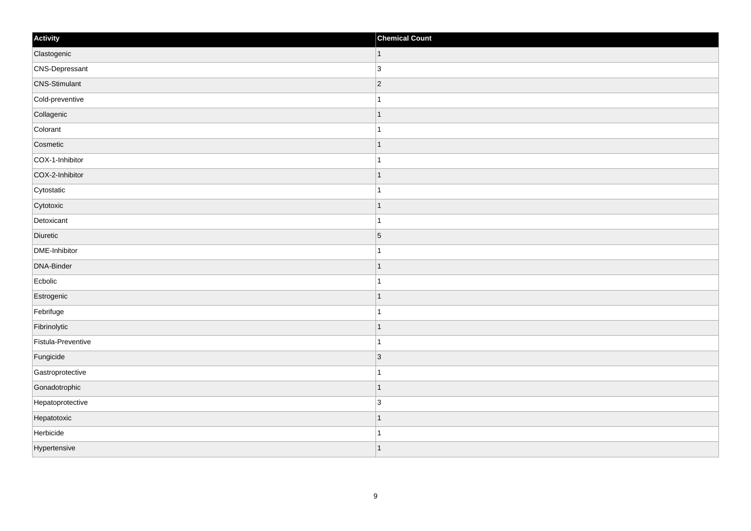| Activity             | <b>Chemical Count</b> |
|----------------------|-----------------------|
| Clastogenic          | $\vert$ 1             |
| CNS-Depressant       | $ 3\rangle$           |
| <b>CNS-Stimulant</b> | $ 2\rangle$           |
| Cold-preventive      | $\mathbf{1}$          |
| Collagenic           | $\mathbf 1$           |
| Colorant             |                       |
| Cosmetic             | $\overline{1}$        |
| COX-1-Inhibitor      | $\vert$ 1             |
| COX-2-Inhibitor      | $\mathbf 1$           |
| Cytostatic           | $\mathbf{1}$          |
| Cytotoxic            | $\overline{1}$        |
| Detoxicant           | $\mathbf{1}$          |
| Diuretic             | $\vert$ 5             |
| DME-Inhibitor        | $\mathbf 1$           |
| DNA-Binder           | $\mathbf 1$           |
| Ecbolic              | $\mathbf{1}$          |
| Estrogenic           | $\mathbf 1$           |
| Febrifuge            | $\mathbf{1}$          |
| Fibrinolytic         | $\vert$ 1             |
| Fistula-Preventive   | $\overline{1}$        |
| Fungicide            | 3                     |
| Gastroprotective     | $\mathbf{1}$          |
| Gonadotrophic        | $\vert$ 1             |
| Hepatoprotective     | 3                     |
| Hepatotoxic          | $\mathbf{1}$          |
| Herbicide            | 1                     |
| Hypertensive         | $\vert$ 1             |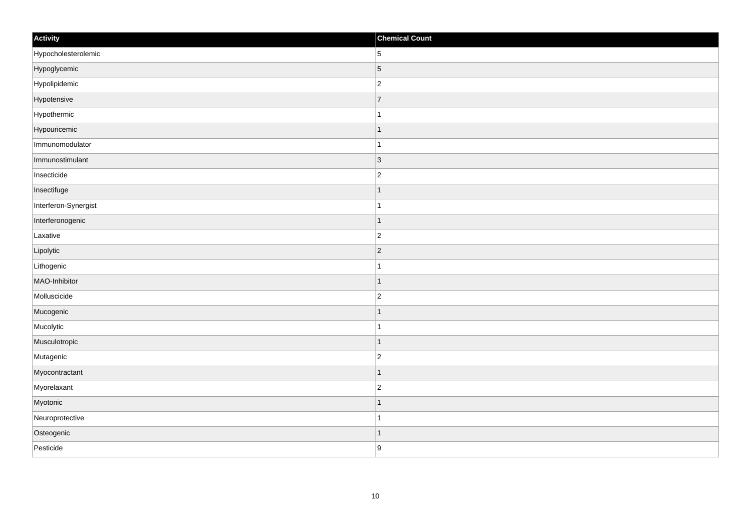| Activity             | <b>Chemical Count</b> |
|----------------------|-----------------------|
| Hypocholesterolemic  | $5\overline{)}$       |
| Hypoglycemic         | $\overline{5}$        |
| Hypolipidemic        | $\overline{c}$        |
| Hypotensive          | $\overline{7}$        |
| Hypothermic          | $\mathbf{1}$          |
| Hypouricemic         | $\mathbf 1$           |
| Immunomodulator      | $\mathbf{1}$          |
| Immunostimulant      | 3                     |
| Insecticide          | $ 2\rangle$           |
| Insectifuge          | $\vert$ 1             |
| Interferon-Synergist | $\overline{1}$        |
| Interferonogenic     | $\mathbf 1$           |
| Laxative             | $\overline{c}$        |
| Lipolytic            | $ 2\rangle$           |
| Lithogenic           |                       |
| MAO-Inhibitor        | $\vert$ 1             |
| Molluscicide         | $\overline{c}$        |
| Mucogenic            | $\mathbf 1$           |
| Mucolytic            | $\mathbf{1}$          |
| Musculotropic        | 1                     |
| Mutagenic            | $\overline{c}$        |
| Myocontractant       | $\mathbf 1$           |
| Myorelaxant          | $ 2\rangle$           |
| Myotonic             | $\overline{1}$        |
| Neuroprotective      | $\vert$ 1             |
| Osteogenic           | $\mathbf{1}$          |
| Pesticide            | 9                     |